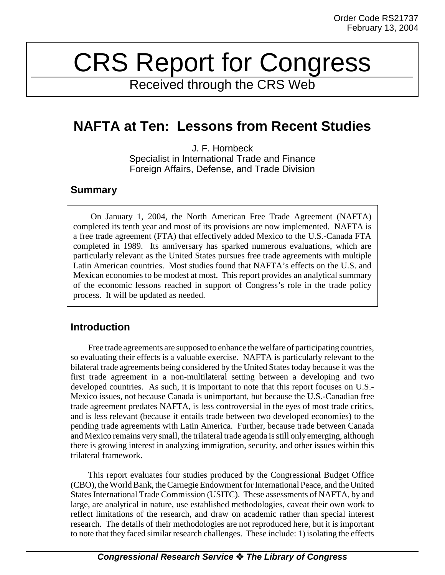# CRS Report for Congress

Received through the CRS Web

# **NAFTA at Ten: Lessons from Recent Studies**

J. F. Hornbeck Specialist in International Trade and Finance Foreign Affairs, Defense, and Trade Division

# **Summary**

On January 1, 2004, the North American Free Trade Agreement (NAFTA) completed its tenth year and most of its provisions are now implemented. NAFTA is a free trade agreement (FTA) that effectively added Mexico to the U.S.-Canada FTA completed in 1989. Its anniversary has sparked numerous evaluations, which are particularly relevant as the United States pursues free trade agreements with multiple Latin American countries. Most studies found that NAFTA's effects on the U.S. and Mexican economies to be modest at most. This report provides an analytical summary of the economic lessons reached in support of Congress's role in the trade policy process. It will be updated as needed.

# **Introduction**

Free trade agreements are supposed to enhance the welfare of participating countries, so evaluating their effects is a valuable exercise. NAFTA is particularly relevant to the bilateral trade agreements being considered by the United States today because it was the first trade agreement in a non-multilateral setting between a developing and two developed countries. As such, it is important to note that this report focuses on U.S.- Mexico issues, not because Canada is unimportant, but because the U.S.-Canadian free trade agreement predates NAFTA, is less controversial in the eyes of most trade critics, and is less relevant (because it entails trade between two developed economies) to the pending trade agreements with Latin America. Further, because trade between Canada and Mexico remains very small, the trilateral trade agenda is still only emerging, although there is growing interest in analyzing immigration, security, and other issues within this trilateral framework.

This report evaluates four studies produced by the Congressional Budget Office (CBO), the World Bank, the Carnegie Endowment for International Peace, and the United States International Trade Commission (USITC). These assessments of NAFTA, by and large, are analytical in nature, use established methodologies, caveat their own work to reflect limitations of the research, and draw on academic rather than special interest research. The details of their methodologies are not reproduced here, but it is important to note that they faced similar research challenges. These include: 1) isolating the effects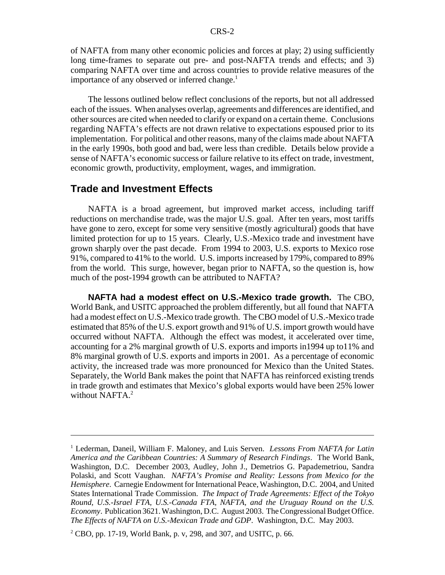of NAFTA from many other economic policies and forces at play; 2) using sufficiently long time-frames to separate out pre- and post-NAFTA trends and effects; and 3) comparing NAFTA over time and across countries to provide relative measures of the importance of any observed or inferred change.<sup>1</sup>

The lessons outlined below reflect conclusions of the reports, but not all addressed each of the issues. When analyses overlap, agreements and differences are identified, and other sources are cited when needed to clarify or expand on a certain theme. Conclusions regarding NAFTA's effects are not drawn relative to expectations espoused prior to its implementation. For political and other reasons, many of the claims made about NAFTA in the early 1990s, both good and bad, were less than credible. Details below provide a sense of NAFTA's economic success or failure relative to its effect on trade, investment, economic growth, productivity, employment, wages, and immigration.

## **Trade and Investment Effects**

NAFTA is a broad agreement, but improved market access, including tariff reductions on merchandise trade, was the major U.S. goal. After ten years, most tariffs have gone to zero, except for some very sensitive (mostly agricultural) goods that have limited protection for up to 15 years. Clearly, U.S.-Mexico trade and investment have grown sharply over the past decade. From 1994 to 2003, U.S. exports to Mexico rose 91%, compared to 41% to the world. U.S. imports increased by 179%, compared to 89% from the world. This surge, however, began prior to NAFTA, so the question is, how much of the post-1994 growth can be attributed to NAFTA?

**NAFTA had a modest effect on U.S.-Mexico trade growth.** The CBO, World Bank, and USITC approached the problem differently, but all found that NAFTA had a modest effect on U.S.-Mexico trade growth. The CBO model of U.S.-Mexico trade estimated that 85% of the U.S. export growth and 91% of U.S. import growth would have occurred without NAFTA. Although the effect was modest, it accelerated over time, accounting for a 2% marginal growth of U.S. exports and imports in1994 up to11% and 8% marginal growth of U.S. exports and imports in 2001. As a percentage of economic activity, the increased trade was more pronounced for Mexico than the United States. Separately, the World Bank makes the point that NAFTA has reinforced existing trends in trade growth and estimates that Mexico's global exports would have been 25% lower without NAFT $A<sup>2</sup>$ 

<sup>&</sup>lt;sup>1</sup> Lederman, Daneil, William F. Maloney, and Luis Serven. *Lessons From NAFTA for Latin America and the Caribbean Countries: A Summary of Research Findings*. The World Bank, Washington, D.C. December 2003, Audley, John J., Demetrios G. Papademetriou, Sandra Polaski, and Scott Vaughan. *NAFTA's Promise and Reality: Lessons from Mexico for the Hemisphere*. Carnegie Endowment for International Peace, Washington, D.C. 2004, and United States International Trade Commission. *The Impact of Trade Agreements: Effect of the Tokyo Round, U.S.-Israel FTA, U.S.-Canada FTA, NAFTA, and the Uruguay Round on the U.S. Economy*. Publication 3621. Washington, D.C. August 2003. The Congressional Budget Office. *The Effects of NAFTA on U.S.-Mexican Trade and GDP*. Washington, D.C. May 2003.

 $2^2$  CBO, pp. 17-19, World Bank, p. v, 298, and 307, and USITC, p. 66.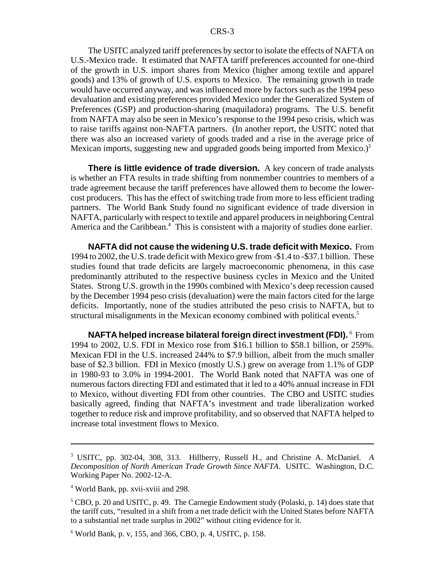The USITC analyzed tariff preferences by sector to isolate the effects of NAFTA on U.S.-Mexico trade. It estimated that NAFTA tariff preferences accounted for one-third of the growth in U.S. import shares from Mexico (higher among textile and apparel goods) and 13% of growth of U.S. exports to Mexico. The remaining growth in trade would have occurred anyway, and was influenced more by factors such as the 1994 peso devaluation and existing preferences provided Mexico under the Generalized System of Preferences (GSP) and production-sharing (maquiladora) programs. The U.S. benefit from NAFTA may also be seen in Mexico's response to the 1994 peso crisis, which was to raise tariffs against non-NAFTA partners. (In another report, the USITC noted that there was also an increased variety of goods traded and a rise in the average price of Mexican imports, suggesting new and upgraded goods being imported from Mexico.) $3$ 

**There is little evidence of trade diversion.** A key concern of trade analysts is whether an FTA results in trade shifting from nonmember countries to members of a trade agreement because the tariff preferences have allowed them to become the lowercost producers. This has the effect of switching trade from more to less efficient trading partners. The World Bank Study found no significant evidence of trade diversion in NAFTA, particularly with respect to textile and apparel producers in neighboring Central America and the Caribbean.<sup>4</sup> This is consistent with a majority of studies done earlier.

**NAFTA did not cause the widening U.S. trade deficit with Mexico.** From 1994 to 2002, the U.S. trade deficit with Mexico grew from -\$1.4 to -\$37.1 billion. These studies found that trade deficits are largely macroeconomic phenomena, in this case predominantly attributed to the respective business cycles in Mexico and the United States. Strong U.S. growth in the 1990s combined with Mexico's deep recession caused by the December 1994 peso crisis (devaluation) were the main factors cited for the large deficits. Importantly, none of the studies attributed the peso crisis to NAFTA, but to structural misalignments in the Mexican economy combined with political events.<sup>5</sup>

**NAFTA helped increase bilateral foreign direct investment (FDI).**  $^6$  From 1994 to 2002, U.S. FDI in Mexico rose from \$16.1 billion to \$58.1 billion, or 259%. Mexican FDI in the U.S. increased 244% to \$7.9 billion, albeit from the much smaller base of \$2.3 billion. FDI in Mexico (mostly U.S.) grew on average from 1.1% of GDP in 1980-93 to 3.0% in 1994-2001. The World Bank noted that NAFTA was one of numerous factors directing FDI and estimated that it led to a 40% annual increase in FDI to Mexico, without diverting FDI from other countries. The CBO and USITC studies basically agreed, finding that NAFTA's investment and trade liberalization worked together to reduce risk and improve profitability, and so observed that NAFTA helped to increase total investment flows to Mexico.

<sup>3</sup> USITC, pp. 302-04, 308, 313. Hillberry, Russell H., and Christine A. McDaniel. *A Decomposition of North American Trade Growth Since NAFTA*. USITC. Washington, D.C. Working Paper No. 2002-12-A.

<sup>4</sup> World Bank, pp. xvii-xviii and 298.

<sup>&</sup>lt;sup>5</sup> CBO, p. 20 and USITC, p. 49. The Carnegie Endowment study (Polaski, p. 14) does state that the tariff cuts, "resulted in a shift from a net trade deficit with the United States before NAFTA to a substantial net trade surplus in 2002" without citing evidence for it.

<sup>6</sup> World Bank, p. v, 155, and 366, CBO, p. 4, USITC, p. 158.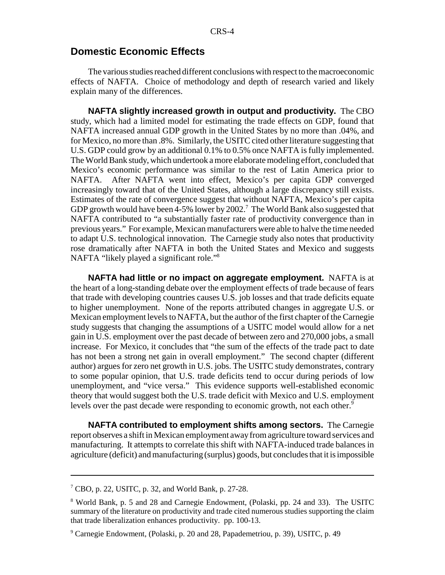#### **Domestic Economic Effects**

The various studies reached different conclusions with respect to the macroeconomic effects of NAFTA. Choice of methodology and depth of research varied and likely explain many of the differences.

**NAFTA slightly increased growth in output and productivity.** The CBO study, which had a limited model for estimating the trade effects on GDP, found that NAFTA increased annual GDP growth in the United States by no more than .04%, and for Mexico, no more than .8%. Similarly, the USITC cited other literature suggesting that U.S. GDP could grow by an additional 0.1% to 0.5% once NAFTA is fully implemented. The World Bank study, which undertook a more elaborate modeling effort, concluded that Mexico's economic performance was similar to the rest of Latin America prior to NAFTA. After NAFTA went into effect, Mexico's per capita GDP converged increasingly toward that of the United States, although a large discrepancy still exists. Estimates of the rate of convergence suggest that without NAFTA, Mexico's per capita GDP growth would have been 4-5% lower by 2002.<sup>7</sup> The World Bank also suggested that NAFTA contributed to "a substantially faster rate of productivity convergence than in previous years." For example, Mexican manufacturers were able to halve the time needed to adapt U.S. technological innovation. The Carnegie study also notes that productivity rose dramatically after NAFTA in both the United States and Mexico and suggests NAFTA "likely played a significant role."8

**NAFTA had little or no impact on aggregate employment.** NAFTA is at the heart of a long-standing debate over the employment effects of trade because of fears that trade with developing countries causes U.S. job losses and that trade deficits equate to higher unemployment. None of the reports attributed changes in aggregate U.S. or Mexican employment levels to NAFTA, but the author of the first chapter of the Carnegie study suggests that changing the assumptions of a USITC model would allow for a net gain in U.S. employment over the past decade of between zero and 270,000 jobs, a small increase. For Mexico, it concludes that "the sum of the effects of the trade pact to date has not been a strong net gain in overall employment." The second chapter (different author) argues for zero net growth in U.S. jobs. The USITC study demonstrates, contrary to some popular opinion, that U.S. trade deficits tend to occur during periods of low unemployment, and "vice versa." This evidence supports well-established economic theory that would suggest both the U.S. trade deficit with Mexico and U.S. employment levels over the past decade were responding to economic growth, not each other.<sup>9</sup>

**NAFTA contributed to employment shifts among sectors.** The Carnegie report observes a shift in Mexican employment away from agriculture toward services and manufacturing. It attempts to correlate this shift with NAFTA-induced trade balances in agriculture (deficit) and manufacturing (surplus) goods, but concludes that it is impossible

<sup>7</sup> CBO, p. 22, USITC, p. 32, and World Bank, p. 27-28.

<sup>&</sup>lt;sup>8</sup> World Bank, p. 5 and 28 and Carnegie Endowment, (Polaski, pp. 24 and 33). The USITC summary of the literature on productivity and trade cited numerous studies supporting the claim that trade liberalization enhances productivity. pp. 100-13.

<sup>9</sup> Carnegie Endowment, (Polaski, p. 20 and 28, Papademetriou, p. 39), USITC, p. 49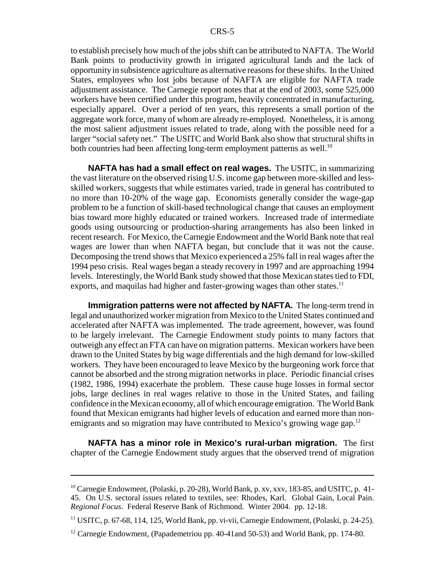to establish precisely how much of the jobs shift can be attributed to NAFTA. The World Bank points to productivity growth in irrigated agricultural lands and the lack of opportunity in subsistence agriculture as alternative reasons for these shifts. In the United States, employees who lost jobs because of NAFTA are eligible for NAFTA trade adjustment assistance. The Carnegie report notes that at the end of 2003, some 525,000 workers have been certified under this program, heavily concentrated in manufacturing, especially apparel. Over a period of ten years, this represents a small portion of the aggregate work force, many of whom are already re-employed. Nonetheless, it is among the most salient adjustment issues related to trade, along with the possible need for a larger "social safety net." The USITC and World Bank also show that structural shifts in both countries had been affecting long-term employment patterns as well.<sup>10</sup>

**NAFTA has had a small effect on real wages.** The USITC, in summarizing the vast literature on the observed rising U.S. income gap between more-skilled and lessskilled workers, suggests that while estimates varied, trade in general has contributed to no more than 10-20% of the wage gap. Economists generally consider the wage-gap problem to be a function of skill-based technological change that causes an employment bias toward more highly educated or trained workers. Increased trade of intermediate goods using outsourcing or production-sharing arrangements has also been linked in recent research. For Mexico, the Carnegie Endowment and the World Bank note that real wages are lower than when NAFTA began, but conclude that it was not the cause. Decomposing the trend shows that Mexico experienced a 25% fall in real wages after the 1994 peso crisis. Real wages began a steady recovery in 1997 and are approaching 1994 levels. Interestingly, the World Bank study showed that those Mexican states tied to FDI, exports, and maquilas had higher and faster-growing wages than other states.<sup>11</sup>

**Immigration patterns were not affected by NAFTA.** The long-term trend in legal and unauthorized worker migration from Mexico to the United States continued and accelerated after NAFTA was implemented. The trade agreement, however, was found to be largely irrelevant. The Carnegie Endowment study points to many factors that outweigh any effect an FTA can have on migration patterns. Mexican workers have been drawn to the United States by big wage differentials and the high demand for low-skilled workers. They have been encouraged to leave Mexico by the burgeoning work force that cannot be absorbed and the strong migration networks in place. Periodic financial crises (1982, 1986, 1994) exacerbate the problem. These cause huge losses in formal sector jobs, large declines in real wages relative to those in the United States, and failing confidence in the Mexican economy, all of which encourage emigration. The World Bank found that Mexican emigrants had higher levels of education and earned more than nonemigrants and so migration may have contributed to Mexico's growing wage gap.<sup>12</sup>

**NAFTA has a minor role in Mexico's rural-urban migration.** The first chapter of the Carnegie Endowment study argues that the observed trend of migration

<sup>&</sup>lt;sup>10</sup> Carnegie Endowment, (Polaski, p. 20-28), World Bank, p. xv, xxv, 183-85, and USITC, p. 41-45. On U.S. sectoral issues related to textiles, see: Rhodes, Karl. Global Gain, Local Pain. *Regional Focus*. Federal Reserve Bank of Richmond. Winter 2004. pp. 12-18.

<sup>&</sup>lt;sup>11</sup> USITC, p. 67-68, 114, 125, World Bank, pp. vi-vii, Carnegie Endowment, (Polaski, p. 24-25).

<sup>&</sup>lt;sup>12</sup> Carnegie Endowment, (Papademetriou pp. 40-41and 50-53) and World Bank, pp. 174-80.